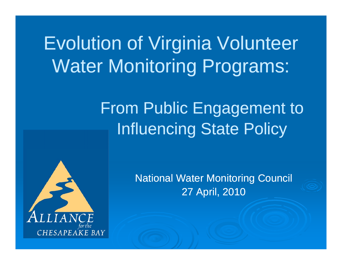# Evolution of Virginia Volunteer Water Monitoring Programs:

## From Public Engagement to Influencing State Policy



National Water Monitorin g Council 27 April, 2010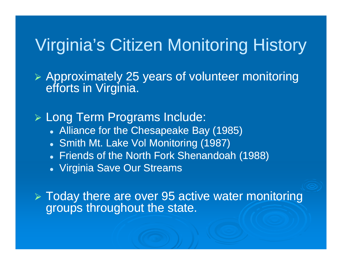## Virginia's Citizen Monitoring History

 $\triangleright$  Approximately 25 years of volunteer monitoring efforts in Virginia.

¾ Long Term Programs Include:

- Alliance for the Chesapeake Bay (1985)
- Smith Mt. Lake Vol Monitoring (1987)
- Friends of the North Fork Shenandoah (1988)
- Virginia Save Our Streams

 $\triangleright$  Today there are over 95 active water monitoring groups throughout the state.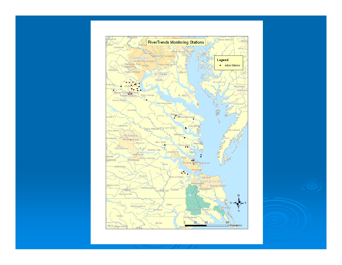

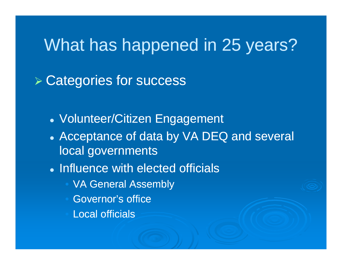## What has happened in 25 years?

 $\triangleright$  Categories for success

- Volunteer/Citizen Engagement
- Acceptance of data by VA DEQ and several local governments
- Influence with elected officials
	- VA General Assembly
	- Governor's office
	- Local officials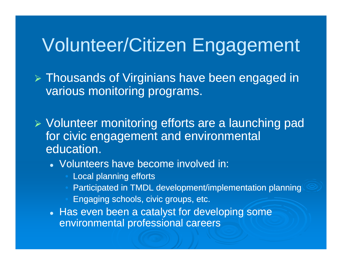# Volunteer/Citizen Engagement

 $\triangleright$  Thousands of Virginians have been engaged in various monitoring programs.

¾ Volunteer monitoring efforts are a launching pad for civic engagement and environmental education.

- Volunteers have become involved in:
	- Local planning efforts
	- Participated in TMDL development/implementation planning
	- Engaging schools, civic groups, etc.
- Has even been a catalyst for developing some environmental professional careers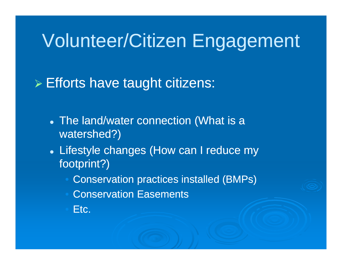#### Volunteer/Citizen En gagement

¾ Efforts have taught citizens:

- The land/water connection (What is a watershed?)
- Lifestyle changes (How can I reduce my footprint?)
	- Conservation practices installed (BMPs)
	- Conservation Easements
	- Etc.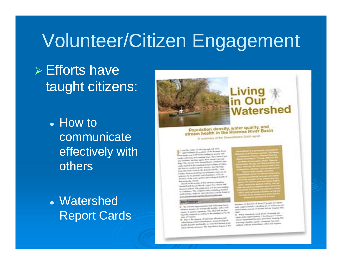#### Volunteer/Citizen En gagement

## $\triangleright$  Efforts have taught citizens:

- $\bullet$  How to communicate effectively with others
- Watershed Report Cards



#### Population density, water quality, and<br>stream health in the Rivanna River Basin

A instructory of the Unsertimers 2006 region

As reason of DWI Blocky tends of condition of the Atlanta St. the late has been precised to move and the time and contributions for the form of the collecting and state space, three beautiful paid and The column two former first in the column ally in great to the constructional procedures of school and the country of the company contrary), they the former and forms to contribute to an about his case of the common and the common states of the common states of the common and the fundamental distribution of concernation and check that the and the first process and deaching to be the property of the trend quality and such spiral brooks of **Automobile Income** 

Name of the property of the the contract of the complete subject of the community of in the company's the public state (res art from market An excess the complete state residence beautiful the desired conditions, and substrates contribe from that Contracts and Contracts Income to the art of

many last o'closer here a the company are factorized that they wish a with chances allowed a components. The child half are fact-<br>and in the components of the child half are fact provide the expertise they excited the constitute and by the

One to the paperty of leadmaps phones in . This is the property demolisment, secure businessed<br>about homest actional demolisment, security business albar barrenada perdenaldo se massifici homes prove.<br>Lucità ingresia perdenaldo se books that is received. The depositors begins at her

property for deposites of densy 10 people per report money to provide 1 dealing on 2 words or 2 suite, inappropriation is procedured and any Virginia area.<br>Against provincia gramme of securities had the Virginia area. mot.

the three country and the property and as received se a l'articolo (comprehensivel) è diversitare per <sup>el</sup> ministro comes with homes buy pain privated, meaning for publicing a Smithy reports and comments Reported policity welcom presentingly effect and express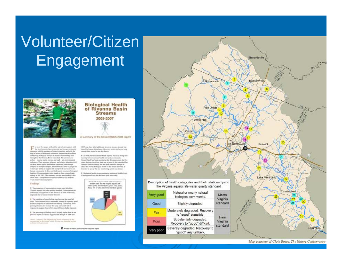## **Volunteer/Citizen** Engagement



#### **Biological Health** of Rivanna Basin **Streams** 2005-2007

A summary of the StreamWatch 2008 report

2007 was bare plied additional street on atreate abouty but-

detend by business disturbances. However, not dis not fusee a beig.

If No with province Street Work topotti, no see a closeg tele-

ImageWash has been manituring the Riversee system for the

paper, alusing which lower hand one to purts of the summitted bas-

changed. But the change has not have presented searingly to

affect the monal budegood health of the stream automak, as

A Badegoul lastity as an essainategy status an Multile Fork

least not in a loss that not excellenting increase can denote

tionship between record food it and lond are interestly

month ride to at leased and dance.

or must the years, with public and private augment, with<br>the limetheatened of governmental and non-governmental the limit are, with the geniuscy of capaci scientists, and with the help of scores of dedicated relations. StreamWatch has been inducting biological service at deems of possioning uses coupless the Riviera Blood matched. The presence was collect - insects, search, warwes, and such - are constructioned telement Their process, afternot and relatest alteralance tell in about water-positiv and behind untilized, noted formultextints of audigm sergion, becausificant in also to peopl-net e-accession' phillies to request Ells and permits accritere to and hat constrainty to this, are third topots, we share histograd lacable at 74 septembration often based on these years of data raing in fall 2007. The numerary you are new realing in distillad front a comprofessori topott erailable at our nethate a temperature and conceptance

#### Findings

R. These quarters of supresentative process when fighted the Virginia agrania 5th mone quality standard Tachare carace the with of organizate, in the stream in at least medicinely. the traded due to become related movement

W. The consistent of steel fasting other fore new the passified note. These secures have a transmatic chance of registeria good hourth at compared to improved accompany Concernate, most acking streams also be now the cong and credit full in represent in excellent. Point of 21 years (1970) are builty responsed

If The prevention of furing inter is slightly higher than in our less move. Fridated equates that designs in 2006 and

Hence Connected The Manufacture" Auto suffered and<br>strength and in the strength model. Shown are Automatical



C Pienus en 1981, pial consumer leigibet paper



Map courtesy of Chris Bruce, The Nature Conservancy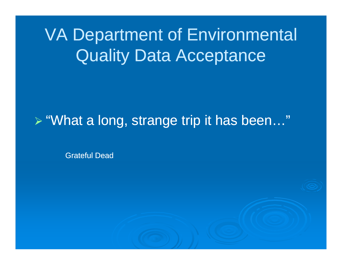# **VA Department of Environmental Quality Data Acceptance**

### > "What a long, strange trip it has been..."

**Grateful Dead**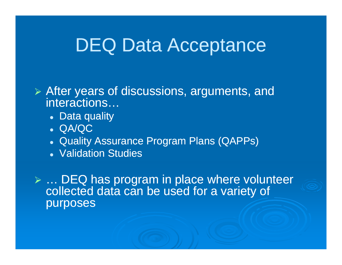## DEQ Data Acceptance

 $\triangleright$  After years of discussions, arguments, and interactions…

- Data quality
- z QA/QC
- Quality Assurance Program Plans (QAPPs)
- Validation Studies

 $\triangleright$  ... DEQ has program in place where volunteer collected data can be used for a variety of purposes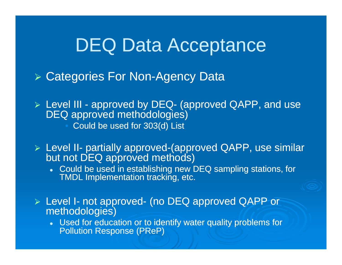## DEQ Data Acceptance

- ▶ Categories For Non-Agency Data
- $\triangleright$  Level III approved by DEQ- (approved QAPP, and use DEQ approved methodologies)
	- Could be used for 303(d) List
- $\triangleright$  Level II-- partially approved-(approved QAPP, use similar but not DEQ approved methods)
	- $\bullet~$  Could be used in establishing new DEQ sampling stations, for TMDL Implementation tracking, etc.
- $\triangleright$  Level I- not approved- (no DEQ approved QAPP or methodologies)
	- Used for education or to identify water quality problems for Pollution Response (PReP)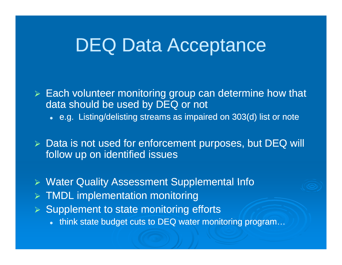## DEQ Data Acceptance

 $\triangleright$  Each volunteer monitoring group can determine how that data should be used by DEQ or not

 $\bullet~$  e.g. Listing/delisting streams as impaired on 303(d) list or note

¾ Data is not used for enforcement purposes, but DEQ will follow up on identified issues

¾ Water Quality Assessment Supplemental Info

- $\triangleright$  TMDL implementation monitoring
- ¾ Supplement to state monitoring efforts
	- $\bullet$  think state budget cuts to DEQ water monitoring program...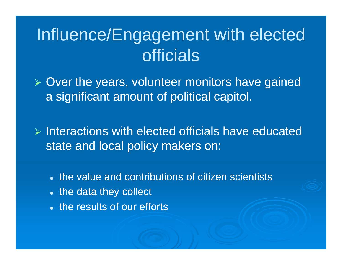# Influence/Engagement with elected officials

 $\triangleright$  Over the years, volunteer monitors have gained a significant amount of political capitol.

 $\triangleright$  Interactions with elected officials have educated state and local policy makers on:

- the value and contributions of citizen scientists
- the data they collect
- the results of our efforts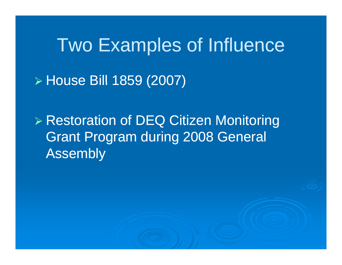**Two Examples of Influence** ► House Bill 1859 (2007)

▶ Restoration of DEQ Citizen Monitoring **Grant Program during 2008 General Assembly**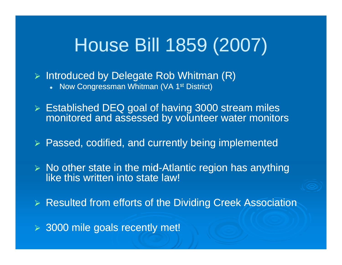# House Bill 1859 (2007)

¾ Introduced by Delegate Rob Whitman (R)

 $\bullet$ Now Congressman Whitman (VA 1st District)

¾ Established DEQ goal of having 3000 stream miles monitored and assessed by volunteer water monitors

¾ Passed, codified, and currently being implemented

 $\triangleright$  No other state in the mid-Atlantic region has anything like this written into state law!

¾ Resulted from efforts of the Dividing Creek Association

¾ 3000 mile goals recently met!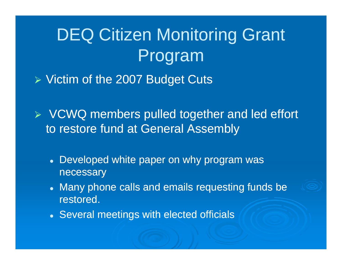# DEQ Citizen Monitoring Grant Program

 $\triangleright$  Victim of the 2007 Budget Cuts

 $\triangleright$  VCWQ members pulled together and led effort to restore fund at General Assembly

- Developed white paper on why program was necessary
- Many phone calls and emails requesting funds be restored.
- Several meetings with elected officials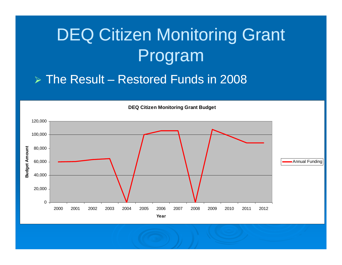# DEQ Citizen Monitoring Grant Program

#### ¾ The Result – Restored Funds in 2008



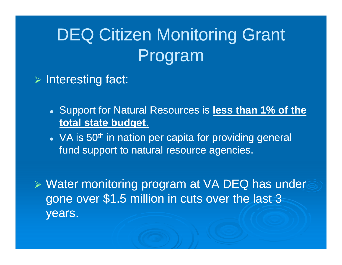# DEQ Citizen Monitoring Grant Program

#### ¾ Interesting fact:

- **Support for Natural Resources is less than 1% of the total state budget**.
- VA is 50<sup>th</sup> in nation per capita for providing general fund support to natural resource agencies.

 $\triangleright$  Water monitoring program at VA DEQ has under gone over \$1.5 million in cuts over the last 3 years.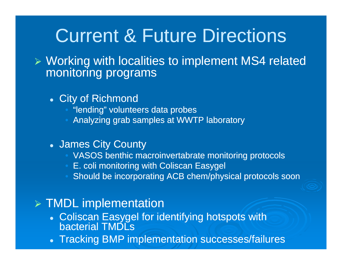# Current & Future Directions

¾ Working with localities to implement MS4 related monitoring programs

- City of Richmond
	- "lending" volunteers data probes
	- Analyzing grab samples at WWTP laboratory
- James City County
	- VASOS benthic macroinvertabrate monitoring protocols
	- E. coli monitoring with Coliscan Easygel
	- Should be incorporating ACB chem/physical protocols soon

#### ¾ TMDL implementation

- Coliscan Easygel for identifying hotspots with bacterial TMDLs
- Tracking BMP implementation successes/failures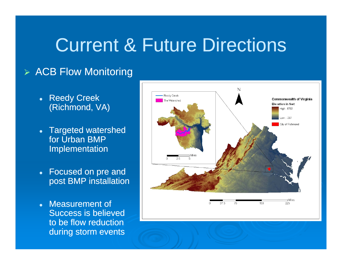# Current & Future Directions

#### ¾ ACB Flow Monitoring

- Reedy Creek (Richmond, VA)
- Targeted watershed for Urban BMP Implementation
- Focused on pre and post BMP installation
- Measurement of Success is believed to be flow reduction during storm events

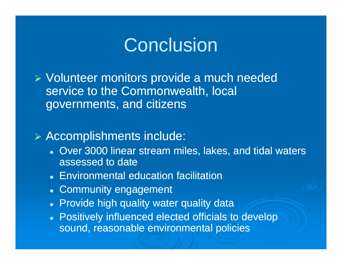## Conclusion

¾ Volunteer monitors provide a much needed service to the Commonwealth, local governments, and citizens

#### ¾ Accomplishments include:

- Over 3000 linear stream miles, lakes, and tidal waters assessed to date
- Environmental education facilitation
- Community engagement
- Provide high quality water quality data
- **Positively influenced elected officials to develop** sound, reasonable environmental policies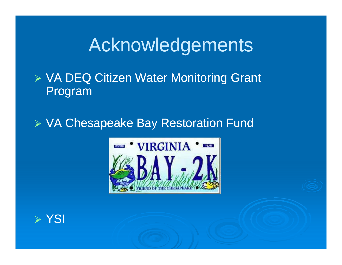# **Acknowledgements**

### ¾ VA DE Q g Citizen Water Monitorin g Grant Program

### ¾ VA Chesapeake Bay Restoration Fund